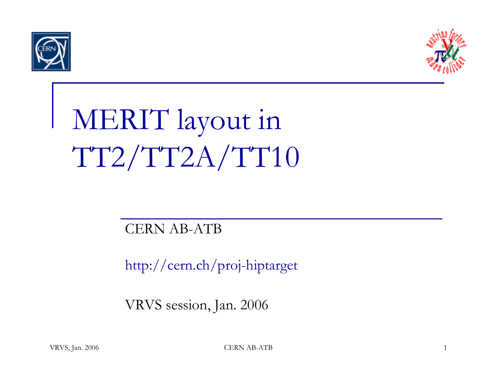



## MERIT layout in TT2/TT2A/TT10

## CERN AB-ATB

http://cern.ch/proj-hiptarget

VRVS session, Jan. 2006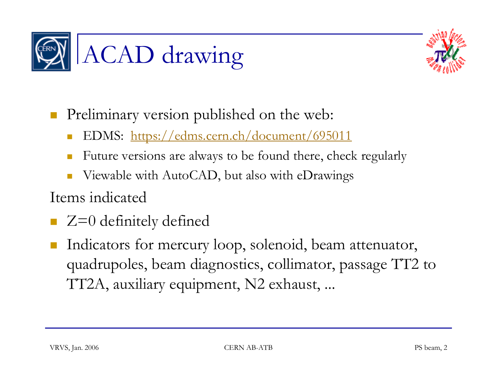



 $\mathcal{L}^{\text{max}}_{\text{max}}$ Preliminary version published on the web:

- EDMS: https://edms.cern.ch/document/695011
- П Future versions are always to be found there, check regularly
- П Viewable with AutoCAD, but also with eDrawings

Items indicated

- Z=0 definitely defined
- $\mathcal{L}_{\mathcal{A}}$  Indicators for mercury loop, solenoid, beam attenuator, quadrupoles, beam diagnostics, collimator, passage TT2 to TT2A, auxiliary equipment, N2 exhaust, ...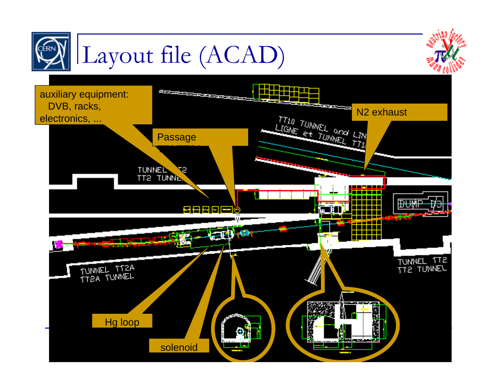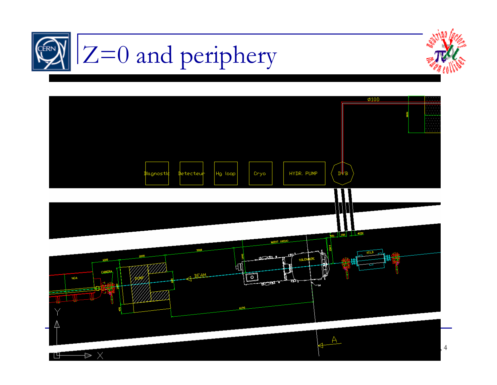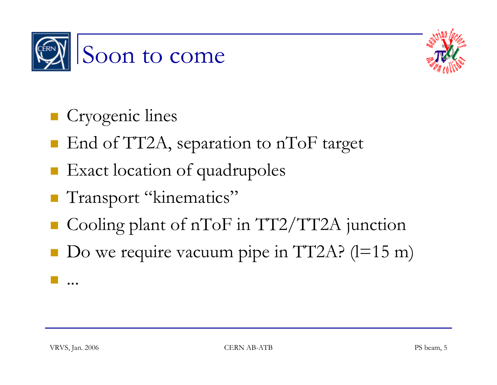



- **Cryogenic lines**
- End of TT2A, separation to nToF target
- **Exact location of quadrupoles**
- **Transport "kinematics"**
- Cooling plant of nToF in TT2/TT2A junction
- $\blacksquare$  Do we require vacuum pipe in TT2A? (l=15 m)

...